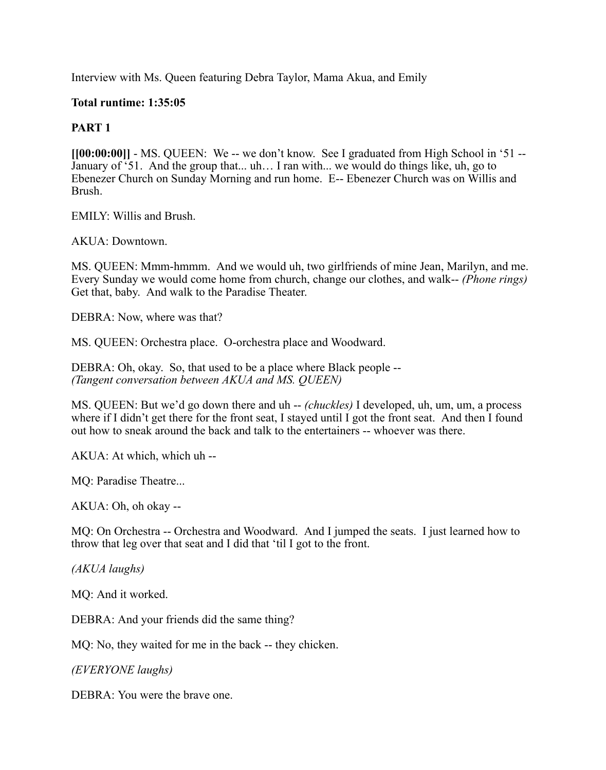Interview with Ms. Queen featuring Debra Taylor, Mama Akua, and Emily

## **Total runtime: 1:35:05**

## **PART 1**

**[[00:00:00]]** - MS. QUEEN: We -- we don't know. See I graduated from High School in '51 -- January of '51. And the group that... uh… I ran with... we would do things like, uh, go to Ebenezer Church on Sunday Morning and run home. E-- Ebenezer Church was on Willis and Brush.

EMILY: Willis and Brush.

AKUA: Downtown.

MS. QUEEN: Mmm-hmmm. And we would uh, two girlfriends of mine Jean, Marilyn, and me. Every Sunday we would come home from church, change our clothes, and walk-- *(Phone rings)* Get that, baby. And walk to the Paradise Theater.

DEBRA: Now, where was that?

MS. QUEEN: Orchestra place. O-orchestra place and Woodward.

DEBRA: Oh, okay. So, that used to be a place where Black people -- *(Tangent conversation between AKUA and MS. QUEEN)*

MS. QUEEN: But we'd go down there and uh -- *(chuckles)* I developed, uh, um, um, a process where if I didn't get there for the front seat, I stayed until I got the front seat. And then I found out how to sneak around the back and talk to the entertainers -- whoever was there.

AKUA: At which, which uh --

MQ: Paradise Theatre...

AKUA: Oh, oh okay --

MQ: On Orchestra -- Orchestra and Woodward. And I jumped the seats. I just learned how to throw that leg over that seat and I did that 'til I got to the front.

*(AKUA laughs)*

MQ: And it worked.

DEBRA: And your friends did the same thing?

MQ: No, they waited for me in the back -- they chicken.

*(EVERYONE laughs)*

DEBRA: You were the brave one.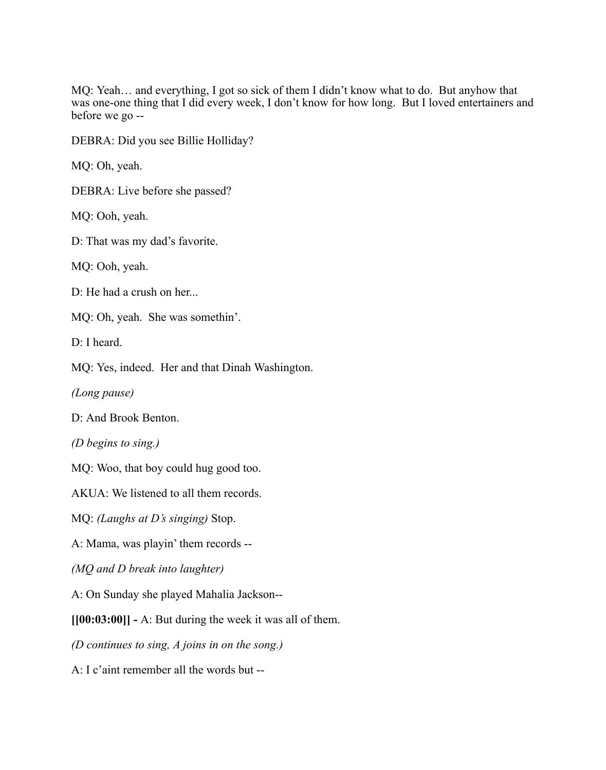MQ: Yeah… and everything, I got so sick of them I didn't know what to do. But anyhow that was one-one thing that I did every week, I don't know for how long. But I loved entertainers and before we go --

DEBRA: Did you see Billie Holliday?

MQ: Oh, yeah.

DEBRA: Live before she passed?

MQ: Ooh, yeah.

D: That was my dad's favorite.

MQ: Ooh, yeah.

D: He had a crush on her...

MQ: Oh, yeah. She was somethin'.

D: I heard.

MQ: Yes, indeed. Her and that Dinah Washington.

*(Long pause)*

D: And Brook Benton.

*(D begins to sing.)*

MQ: Woo, that boy could hug good too.

AKUA: We listened to all them records.

MQ: *(Laughs at D's singing)* Stop.

A: Mama, was playin' them records --

*(MQ and D break into laughter)*

A: On Sunday she played Mahalia Jackson--

**[[00:03:00]] -** A: But during the week it was all of them.

*(D continues to sing, A joins in on the song.)*

A: I c'aint remember all the words but --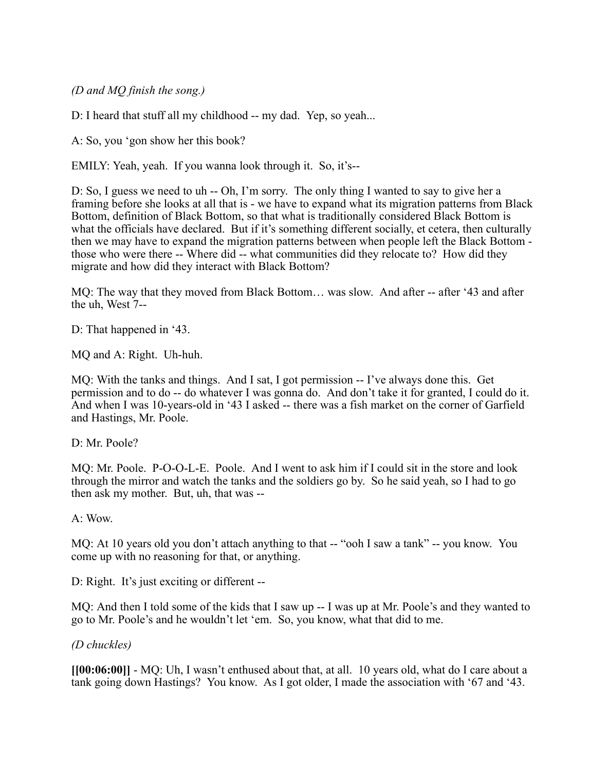*(D and MQ finish the song.)*

D: I heard that stuff all my childhood -- my dad. Yep, so yeah...

A: So, you 'gon show her this book?

EMILY: Yeah, yeah. If you wanna look through it. So, it's--

D: So, I guess we need to uh -- Oh, I'm sorry. The only thing I wanted to say to give her a framing before she looks at all that is - we have to expand what its migration patterns from Black Bottom, definition of Black Bottom, so that what is traditionally considered Black Bottom is what the officials have declared. But if it's something different socially, et cetera, then culturally then we may have to expand the migration patterns between when people left the Black Bottom those who were there -- Where did -- what communities did they relocate to? How did they migrate and how did they interact with Black Bottom?

MQ: The way that they moved from Black Bottom… was slow. And after -- after '43 and after the uh, West 7--

D: That happened in '43.

MQ and A: Right. Uh-huh.

MQ: With the tanks and things. And I sat, I got permission -- I've always done this. Get permission and to do -- do whatever I was gonna do. And don't take it for granted, I could do it. And when I was 10-years-old in '43 I asked -- there was a fish market on the corner of Garfield and Hastings, Mr. Poole.

D: Mr. Poole?

MQ: Mr. Poole. P-O-O-L-E. Poole. And I went to ask him if I could sit in the store and look through the mirror and watch the tanks and the soldiers go by. So he said yeah, so I had to go then ask my mother. But, uh, that was --

A: Wow.

MQ: At 10 years old you don't attach anything to that -- "ooh I saw a tank" -- you know. You come up with no reasoning for that, or anything.

D: Right. It's just exciting or different --

MQ: And then I told some of the kids that I saw up -- I was up at Mr. Poole's and they wanted to go to Mr. Poole's and he wouldn't let 'em. So, you know, what that did to me.

*(D chuckles)*

**[[00:06:00]]** - MQ: Uh, I wasn't enthused about that, at all. 10 years old, what do I care about a tank going down Hastings? You know. As I got older, I made the association with '67 and '43.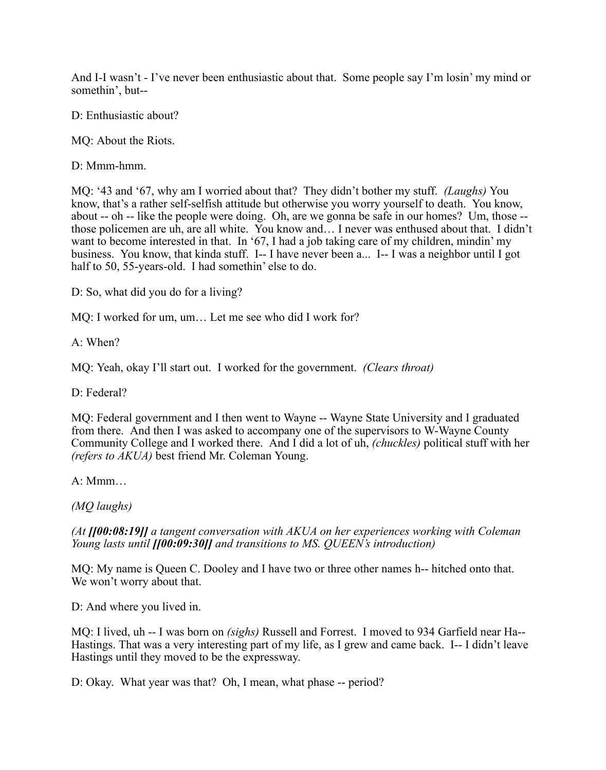And I-I wasn't - I've never been enthusiastic about that. Some people say I'm losin' my mind or somethin', but--

D: Enthusiastic about?

MQ: About the Riots.

D: Mmm-hmm.

MQ: '43 and '67, why am I worried about that? They didn't bother my stuff. *(Laughs)* You know, that's a rather self-selfish attitude but otherwise you worry yourself to death. You know, about -- oh -- like the people were doing. Oh, are we gonna be safe in our homes? Um, those - those policemen are uh, are all white. You know and… I never was enthused about that. I didn't want to become interested in that. In '67, I had a job taking care of my children, mindin' my business. You know, that kinda stuff. I-- I have never been a... I-- I was a neighbor until I got half to 50, 55-years-old. I had somethin' else to do.

D: So, what did you do for a living?

MQ: I worked for um, um… Let me see who did I work for?

A: When?

MQ: Yeah, okay I'll start out. I worked for the government. *(Clears throat)*

D: Federal?

MQ: Federal government and I then went to Wayne -- Wayne State University and I graduated from there. And then I was asked to accompany one of the supervisors to W-Wayne County Community College and I worked there. And I did a lot of uh, *(chuckles)* political stuff with her *(refers to AKUA)* best friend Mr. Coleman Young.

A: Mmm…

*(MQ laughs)*

*(At [[00:08:19]] a tangent conversation with AKUA on her experiences working with Coleman Young lasts until [[00:09:30]] and transitions to MS. QUEEN's introduction)*

MQ: My name is Queen C. Dooley and I have two or three other names h-- hitched onto that. We won't worry about that.

D: And where you lived in.

MQ: I lived, uh -- I was born on *(sighs)* Russell and Forrest. I moved to 934 Garfield near Ha-- Hastings. That was a very interesting part of my life, as I grew and came back. I-- I didn't leave Hastings until they moved to be the expressway.

D: Okay. What year was that? Oh, I mean, what phase -- period?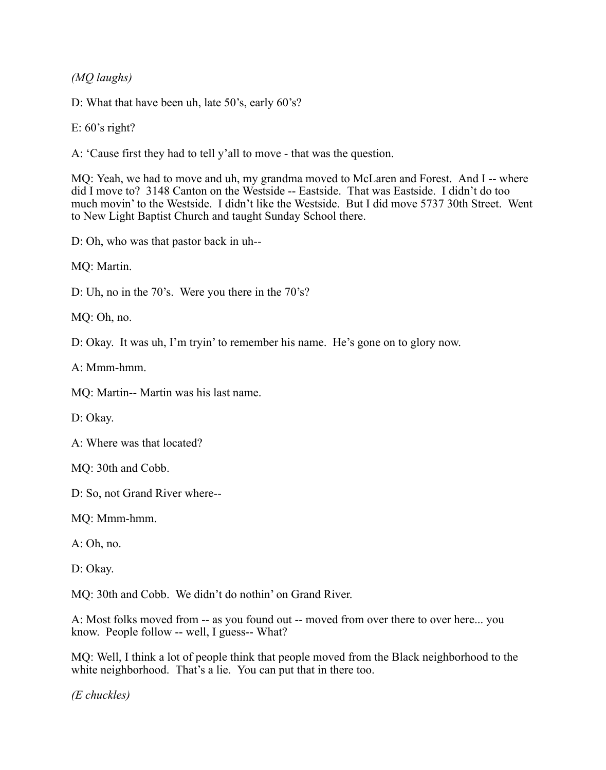*(MQ laughs)*

D: What that have been uh, late 50's, early 60's?

E:  $60$ 's right?

A: 'Cause first they had to tell y'all to move - that was the question.

MQ: Yeah, we had to move and uh, my grandma moved to McLaren and Forest. And I -- where did I move to? 3148 Canton on the Westside -- Eastside. That was Eastside. I didn't do too much movin' to the Westside. I didn't like the Westside. But I did move 5737 30th Street. Went to New Light Baptist Church and taught Sunday School there.

D: Oh, who was that pastor back in uh--

MQ: Martin.

D: Uh, no in the 70's. Were you there in the 70's?

MQ: Oh, no.

D: Okay. It was uh, I'm tryin' to remember his name. He's gone on to glory now.

 $A \cdot Mmm-hmm$ 

MQ: Martin-- Martin was his last name.

D: Okay.

A: Where was that located?

MQ: 30th and Cobb.

D: So, not Grand River where--

MQ: Mmm-hmm.

A: Oh, no.

D: Okay.

MQ: 30th and Cobb. We didn't do nothin' on Grand River.

A: Most folks moved from -- as you found out -- moved from over there to over here... you know. People follow -- well, I guess-- What?

MQ: Well, I think a lot of people think that people moved from the Black neighborhood to the white neighborhood. That's a lie. You can put that in there too.

*(E chuckles)*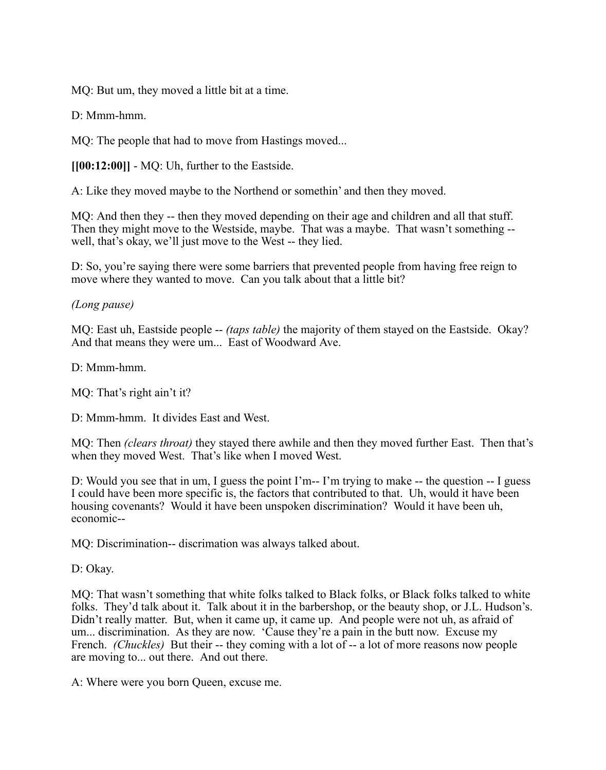MQ: But um, they moved a little bit at a time.

D: Mmm-hmm

MQ: The people that had to move from Hastings moved...

**[[00:12:00]]** - MQ: Uh, further to the Eastside.

A: Like they moved maybe to the Northend or somethin' and then they moved.

MQ: And then they -- then they moved depending on their age and children and all that stuff. Then they might move to the Westside, maybe. That was a maybe. That wasn't something - well, that's okay, we'll just move to the West -- they lied.

D: So, you're saying there were some barriers that prevented people from having free reign to move where they wanted to move. Can you talk about that a little bit?

## *(Long pause)*

MQ: East uh, Eastside people -- *(taps table)* the majority of them stayed on the Eastside. Okay? And that means they were um... East of Woodward Ave.

D<sup>.</sup> Mmm-hmm

MQ: That's right ain't it?

D: Mmm-hmm. It divides East and West.

MQ: Then *(clears throat)* they stayed there awhile and then they moved further East. Then that's when they moved West. That's like when I moved West.

D: Would you see that in um, I guess the point I'm-- I'm trying to make -- the question -- I guess I could have been more specific is, the factors that contributed to that. Uh, would it have been housing covenants? Would it have been unspoken discrimination? Would it have been uh, economic--

MQ: Discrimination-- discrimation was always talked about.

D: Okay.

MQ: That wasn't something that white folks talked to Black folks, or Black folks talked to white folks. They'd talk about it. Talk about it in the barbershop, or the beauty shop, or J.L. Hudson's. Didn't really matter. But, when it came up, it came up. And people were not uh, as afraid of um... discrimination. As they are now. 'Cause they're a pain in the butt now. Excuse my French. *(Chuckles)* But their -- they coming with a lot of -- a lot of more reasons now people are moving to... out there. And out there.

A: Where were you born Queen, excuse me.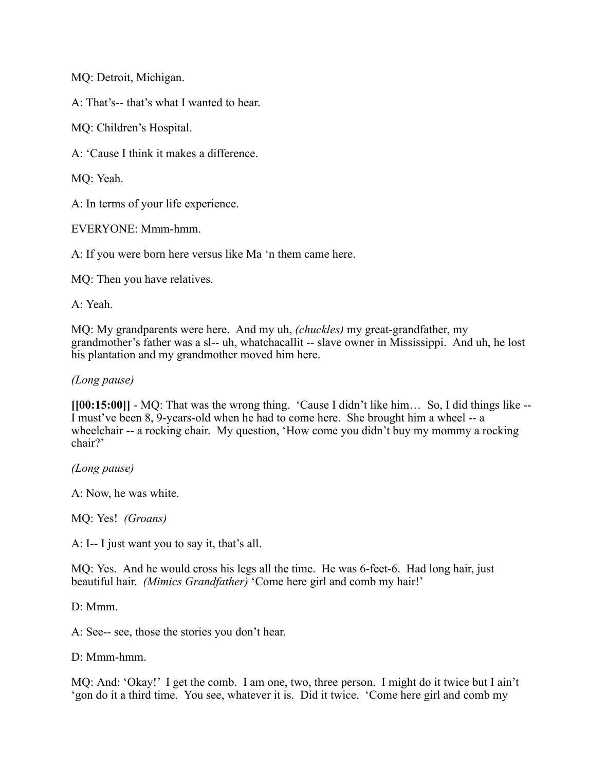MQ: Detroit, Michigan.

A: That's-- that's what I wanted to hear.

MQ: Children's Hospital.

A: 'Cause I think it makes a difference.

MQ: Yeah.

A: In terms of your life experience.

EVERYONE: Mmm-hmm.

A: If you were born here versus like Ma 'n them came here.

MQ: Then you have relatives.

A: Yeah.

MQ: My grandparents were here. And my uh, *(chuckles)* my great-grandfather, my grandmother's father was a sl-- uh, whatchacallit -- slave owner in Mississippi. And uh, he lost his plantation and my grandmother moved him here.

## *(Long pause)*

**[[00:15:00]]** - MQ: That was the wrong thing. 'Cause I didn't like him… So, I did things like -- I must've been 8, 9-years-old when he had to come here. She brought him a wheel -- a wheelchair -- a rocking chair. My question, 'How come you didn't buy my mommy a rocking chair?'

*(Long pause)*

A: Now, he was white.

MQ: Yes! *(Groans)*

A: I-- I just want you to say it, that's all.

MQ: Yes. And he would cross his legs all the time. He was 6-feet-6. Had long hair, just beautiful hair. *(Mimics Grandfather)* 'Come here girl and comb my hair!'

 $D^{\cdot}$  Mmm

A: See-- see, those the stories you don't hear.

D: Mmm-hmm

MQ: And: 'Okay!' I get the comb. I am one, two, three person. I might do it twice but I ain't 'gon do it a third time. You see, whatever it is. Did it twice. 'Come here girl and comb my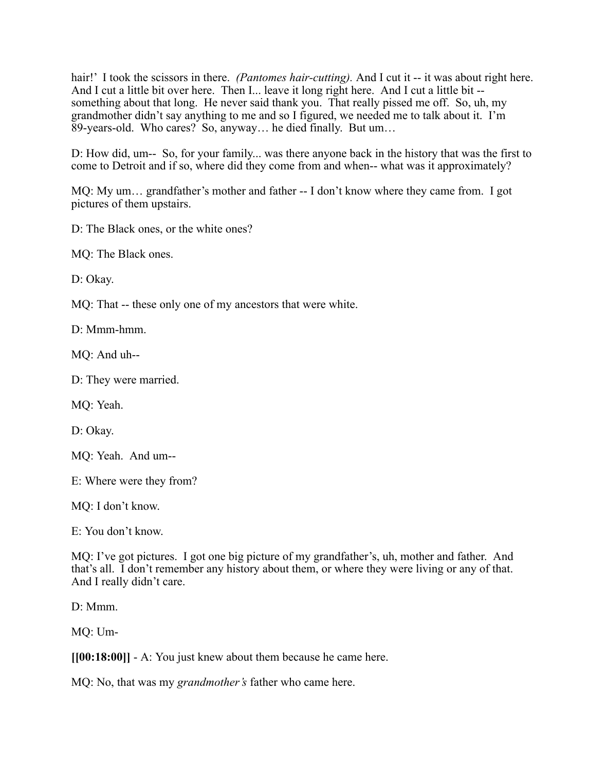hair!' I took the scissors in there. *(Pantomes hair-cutting)*. And I cut it -- it was about right here. And I cut a little bit over here. Then I... leave it long right here. And I cut a little bit - something about that long. He never said thank you. That really pissed me off. So, uh, my grandmother didn't say anything to me and so I figured, we needed me to talk about it. I'm 89-years-old. Who cares? So, anyway… he died finally. But um…

D: How did, um-- So, for your family... was there anyone back in the history that was the first to come to Detroit and if so, where did they come from and when-- what was it approximately?

MQ: My um… grandfather's mother and father -- I don't know where they came from. I got pictures of them upstairs.

D: The Black ones, or the white ones?

MQ: The Black ones.

D: Okay.

MQ: That -- these only one of my ancestors that were white.

D: Mmm-hmm.

MQ: And uh--

D: They were married.

MQ: Yeah.

D: Okay.

MQ: Yeah. And um--

E: Where were they from?

MQ: I don't know.

E: You don't know.

MQ: I've got pictures. I got one big picture of my grandfather's, uh, mother and father. And that's all. I don't remember any history about them, or where they were living or any of that. And I really didn't care.

D: Mmm.

MQ: Um-

**[[00:18:00]]** - A: You just knew about them because he came here.

MQ: No, that was my *grandmother's* father who came here.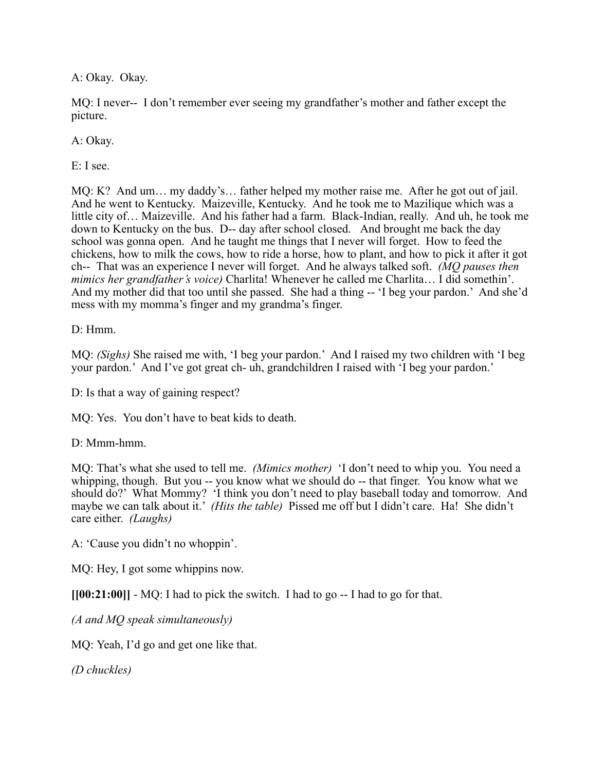A: Okay. Okay.

MQ: I never-- I don't remember ever seeing my grandfather's mother and father except the picture.

A: Okay.

E: I see.

MQ: K? And um… my daddy's… father helped my mother raise me. After he got out of jail. And he went to Kentucky. Maizeville, Kentucky. And he took me to Mazilique which was a little city of… Maizeville. And his father had a farm. Black-Indian, really. And uh, he took me down to Kentucky on the bus. D-- day after school closed. And brought me back the day school was gonna open. And he taught me things that I never will forget. How to feed the chickens, how to milk the cows, how to ride a horse, how to plant, and how to pick it after it got ch-- That was an experience I never will forget. And he always talked soft. *(MQ pauses then mimics her grandfather's voice)* Charlita! Whenever he called me Charlita… I did somethin'. And my mother did that too until she passed. She had a thing -- 'I beg your pardon.' And she'd mess with my momma's finger and my grandma's finger.

D: Hmm.

MQ: *(Sighs)* She raised me with, 'I beg your pardon.' And I raised my two children with 'I beg your pardon.' And I've got great ch- uh, grandchildren I raised with 'I beg your pardon.'

D: Is that a way of gaining respect?

MQ: Yes. You don't have to beat kids to death.

D: Mmm-hmm.

MQ: That's what she used to tell me. *(Mimics mother)* 'I don't need to whip you. You need a whipping, though. But you -- you know what we should do -- that finger. You know what we should do?' What Mommy? 'I think you don't need to play baseball today and tomorrow. And maybe we can talk about it.' *(Hits the table)* Pissed me off but I didn't care. Ha! She didn't care either. *(Laughs)*

A: 'Cause you didn't no whoppin'.

MQ: Hey, I got some whippins now.

**[[00:21:00]]** - MQ: I had to pick the switch. I had to go -- I had to go for that.

*(A and MQ speak simultaneously)*

MQ: Yeah, I'd go and get one like that.

*(D chuckles)*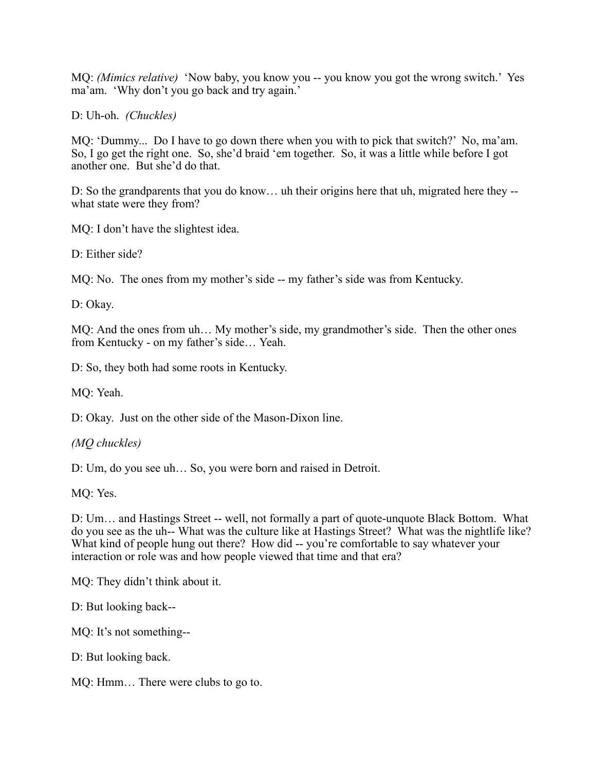MQ: *(Mimics relative)* 'Now baby, you know you -- you know you got the wrong switch.' Yes ma'am. 'Why don't you go back and try again.'

D: Uh-oh. *(Chuckles)*

MQ: 'Dummy... Do I have to go down there when you with to pick that switch?' No, ma'am. So, I go get the right one. So, she'd braid 'em together. So, it was a little while before I got another one. But she'd do that.

D: So the grandparents that you do know... uh their origins here that uh, migrated here they -what state were they from?

MQ: I don't have the slightest idea.

D: Either side?

MQ: No. The ones from my mother's side -- my father's side was from Kentucky.

D: Okay.

MQ: And the ones from uh… My mother's side, my grandmother's side. Then the other ones from Kentucky - on my father's side… Yeah.

D: So, they both had some roots in Kentucky.

MQ: Yeah.

D: Okay. Just on the other side of the Mason-Dixon line.

*(MQ chuckles)*

D: Um, do you see uh... So, you were born and raised in Detroit.

MQ: Yes.

D: Um… and Hastings Street -- well, not formally a part of quote-unquote Black Bottom. What do you see as the uh-- What was the culture like at Hastings Street? What was the nightlife like? What kind of people hung out there? How did -- you're comfortable to say whatever your interaction or role was and how people viewed that time and that era?

MQ: They didn't think about it.

D: But looking back--

MQ: It's not something--

D: But looking back.

MQ: Hmm… There were clubs to go to.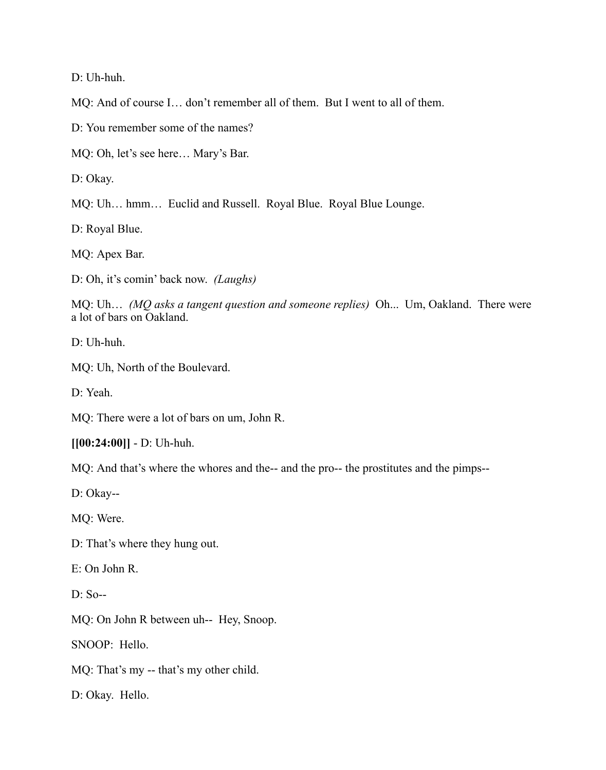D: Uh-huh.

MQ: And of course I… don't remember all of them. But I went to all of them.

D: You remember some of the names?

MQ: Oh, let's see here… Mary's Bar.

D: Okay.

MQ: Uh… hmm… Euclid and Russell. Royal Blue. Royal Blue Lounge.

D: Royal Blue.

MQ: Apex Bar.

D: Oh, it's comin' back now. *(Laughs)*

MQ: Uh… *(MQ asks a tangent question and someone replies)* Oh... Um, Oakland. There were a lot of bars on Oakland.

D: Uh-huh.

MQ: Uh, North of the Boulevard.

D: Yeah.

MQ: There were a lot of bars on um, John R.

**[[00:24:00]]** - D: Uh-huh.

MQ: And that's where the whores and the-- and the pro-- the prostitutes and the pimps--

D: Okay--

MQ: Were.

D: That's where they hung out.

E: On John R.

D: So--

MQ: On John R between uh-- Hey, Snoop.

SNOOP: Hello.

MQ: That's my -- that's my other child.

D: Okay. Hello.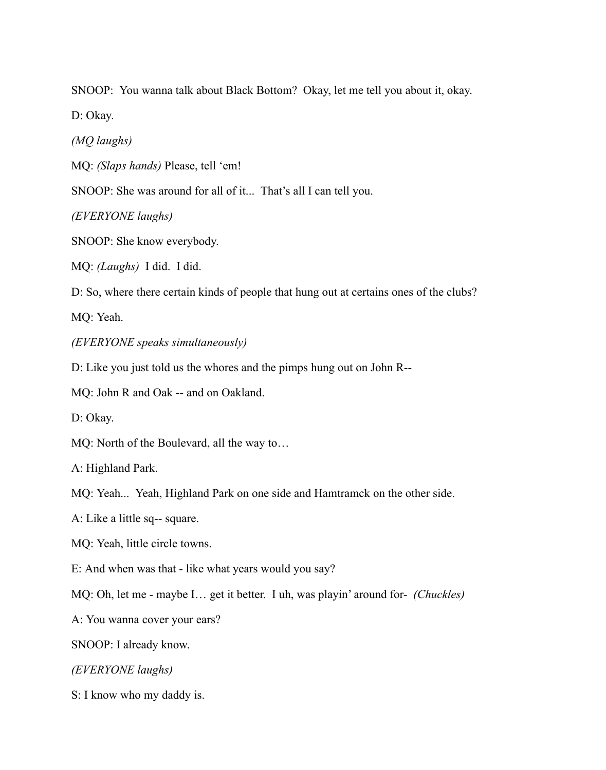SNOOP: You wanna talk about Black Bottom? Okay, let me tell you about it, okay.

D: Okay.

*(MQ laughs)*

MQ: *(Slaps hands)* Please, tell 'em!

SNOOP: She was around for all of it... That's all I can tell you.

*(EVERYONE laughs)*

SNOOP: She know everybody.

MQ: *(Laughs)* I did. I did.

D: So, where there certain kinds of people that hung out at certains ones of the clubs?

MQ: Yeah.

*(EVERYONE speaks simultaneously)*

D: Like you just told us the whores and the pimps hung out on John R--

MQ: John R and Oak -- and on Oakland.

D: Okay.

MQ: North of the Boulevard, all the way to…

A: Highland Park.

MQ: Yeah... Yeah, Highland Park on one side and Hamtramck on the other side.

A: Like a little sq-- square.

MQ: Yeah, little circle towns.

E: And when was that - like what years would you say?

MQ: Oh, let me - maybe I… get it better. I uh, was playin' around for- *(Chuckles)*

A: You wanna cover your ears?

SNOOP: I already know.

*(EVERYONE laughs)*

S: I know who my daddy is.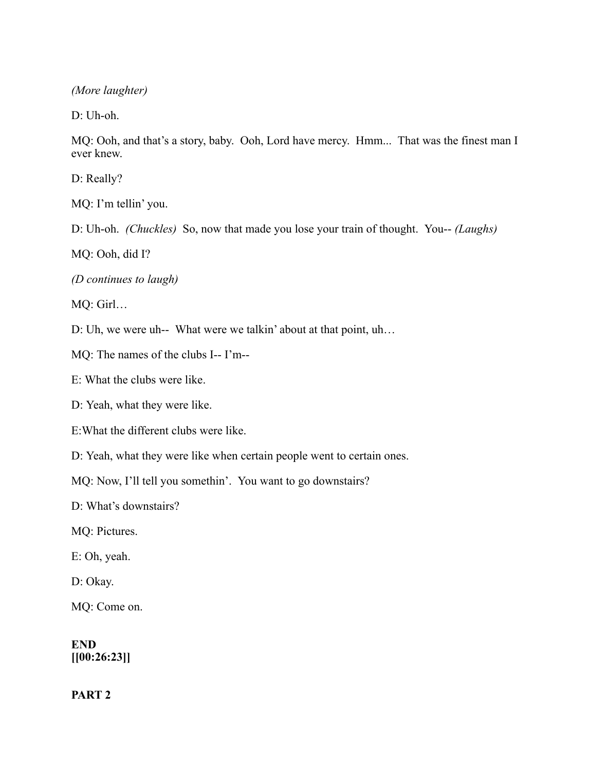*(More laughter)*

D: Uh-oh.

MQ: Ooh, and that's a story, baby. Ooh, Lord have mercy. Hmm... That was the finest man I ever knew.

D: Really?

MQ: I'm tellin' you.

D: Uh-oh. *(Chuckles)* So, now that made you lose your train of thought. You-- *(Laughs)*

MQ: Ooh, did I?

*(D continues to laugh)*

MQ: Girl…

D: Uh, we were uh-- What were we talkin' about at that point, uh…

MQ: The names of the clubs I-- I'm--

E: What the clubs were like.

D: Yeah, what they were like.

E:What the different clubs were like.

D: Yeah, what they were like when certain people went to certain ones.

MQ: Now, I'll tell you somethin'. You want to go downstairs?

D: What's downstairs?

MQ: Pictures.

E: Oh, yeah.

D: Okay.

MQ: Come on.

**END [[00:26:23]]**

**PART 2**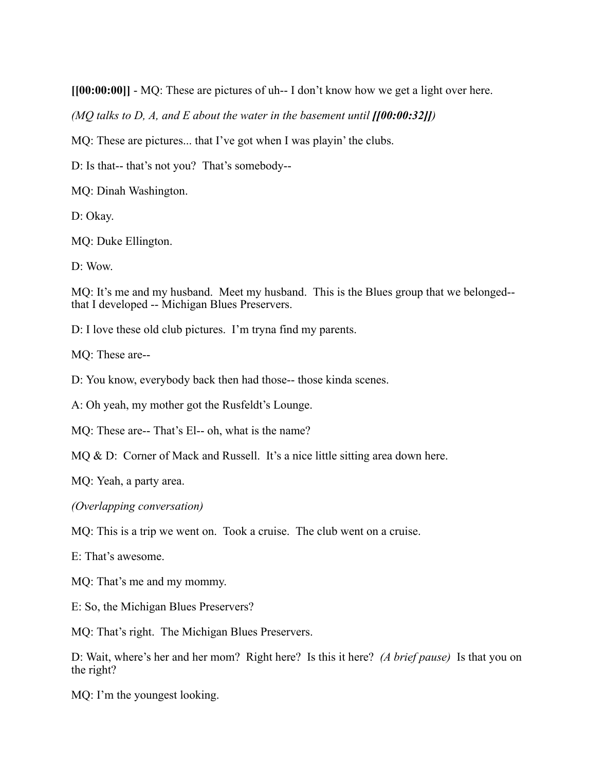**[[00:00:00]]** - MQ: These are pictures of uh-- I don't know how we get a light over here.

*(MQ talks to D, A, and E about the water in the basement until*  $[100:00:32]$ *]* 

MQ: These are pictures... that I've got when I was playin' the clubs.

D: Is that-- that's not you? That's somebody--

MQ: Dinah Washington.

D: Okay.

MQ: Duke Ellington.

D: Wow.

MQ: It's me and my husband. Meet my husband. This is the Blues group that we belonged-that I developed -- Michigan Blues Preservers.

D: I love these old club pictures. I'm tryna find my parents.

MQ: These are--

D: You know, everybody back then had those-- those kinda scenes.

A: Oh yeah, my mother got the Rusfeldt's Lounge.

MQ: These are-- That's El-- oh, what is the name?

MQ & D: Corner of Mack and Russell. It's a nice little sitting area down here.

MQ: Yeah, a party area.

*(Overlapping conversation)*

MQ: This is a trip we went on. Took a cruise. The club went on a cruise.

E: That's awesome.

MQ: That's me and my mommy.

E: So, the Michigan Blues Preservers?

MQ: That's right. The Michigan Blues Preservers.

D: Wait, where's her and her mom? Right here? Is this it here? *(A brief pause)* Is that you on the right?

MQ: I'm the youngest looking.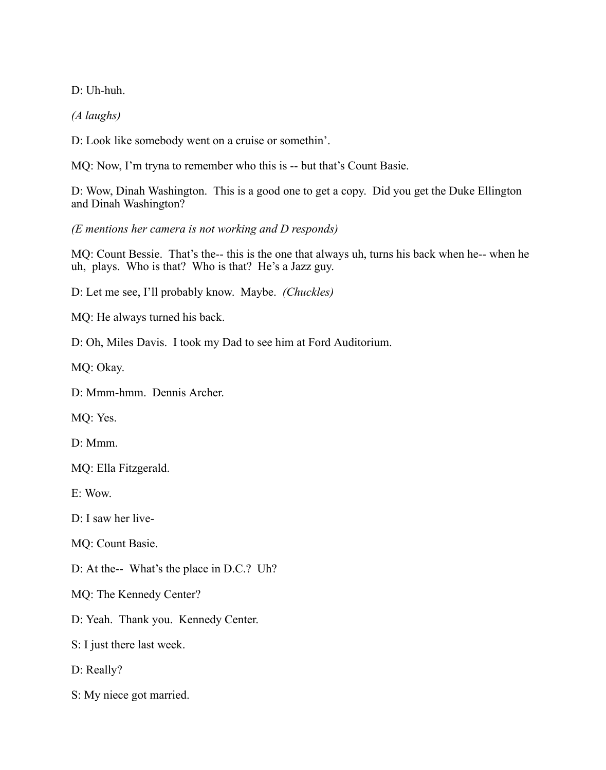D: Uh-huh.

*(A laughs)*

D: Look like somebody went on a cruise or somethin'.

MQ: Now, I'm tryna to remember who this is -- but that's Count Basie.

D: Wow, Dinah Washington. This is a good one to get a copy. Did you get the Duke Ellington and Dinah Washington?

*(E mentions her camera is not working and D responds)*

MQ: Count Bessie. That's the-- this is the one that always uh, turns his back when he-- when he uh, plays. Who is that? Who is that? He's a Jazz guy.

D: Let me see, I'll probably know. Maybe. *(Chuckles)*

MQ: He always turned his back.

D: Oh, Miles Davis. I took my Dad to see him at Ford Auditorium.

MQ: Okay.

D: Mmm-hmm. Dennis Archer.

MQ: Yes.

D: Mmm.

MQ: Ella Fitzgerald.

E: Wow.

D: I saw her live-

MQ: Count Basie.

D: At the-- What's the place in D.C.? Uh?

MQ: The Kennedy Center?

D: Yeah. Thank you. Kennedy Center.

S: I just there last week.

D: Really?

S: My niece got married.